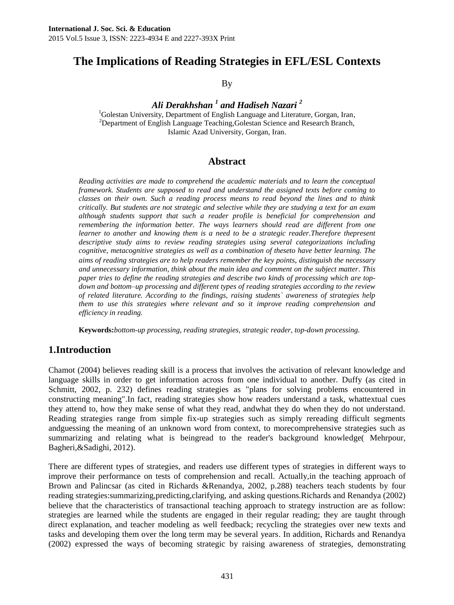# **The Implications of Reading Strategies in EFL/ESL Contexts**

By

*Ali Derakhshan <sup>1</sup> and Hadiseh Nazari 2*

<sup>1</sup>Golestan University, Department of English Language and Literature, Gorgan, Iran, <sup>2</sup>Department of English Language Teaching, Golestan Science and Research Branch, Islamic Azad University, Gorgan, Iran.

#### **Abstract**

*Reading activities are made to comprehend the academic materials and to learn the conceptual framework. Students are supposed to read and understand the assigned texts before coming to classes on their own. Such a reading process means to read beyond the lines and to think critically. But students are not strategic and selective while they are studying a text for an exam although students support that such a reader profile is beneficial for comprehension and remembering the information better. The ways learners should read are different from one learner to another and knowing them is a need to be a strategic reader.Therefore thepresent descriptive study aims to review reading strategies using several categorizations including cognitive, metacognitive strategies as well as a combination of theseto have better learning. The aims of reading strategies are to help readers remember the key points*, *distinguish the necessary and unnecessary information, think about the main idea and comment on the subject matter. This paper tries to define the reading strategies and describe two kinds of processing which are topdown and bottom–up processing and different types of reading strategies according to the review of related literature. According to the findings, raising students` awareness of strategies help them to use this strategies where relevant and so it improve reading comprehension and efficiency in reading.*

**Keywords:***bottom-up processing, reading strategies, strategic reader, top-down processing.*

## **1.Introduction**

Chamot (2004) believes reading skill is a process that involves the activation of relevant knowledge and language skills in order to get information across from one individual to another. Duffy (as cited in Schmitt, 2002, p. 232) defines reading strategies as "plans for solving problems encountered in constructing meaning".In fact, reading strategies show how readers understand a task, whattextual cues they attend to, how they make sense of what they read, andwhat they do when they do not understand. Reading strategies range from simple fix-up strategies such as simply rereading difficult segments andguessing the meaning of an unknown word from context, to morecomprehensive strategies such as summarizing and relating what is beingread to the reader's background knowledge( Mehrpour, Bagheri,&Sadighi, 2012).

There are different types of strategies, and readers use different types of strategies in different ways to improve their performance on tests of comprehension and recall. Actually,in the teaching approach of Brown and Palincsar (as cited in Richards &Renandya, 2002, p.288) teachers teach students by four reading strategies:summarizing,predicting,clarifying, and asking questions.Richards and Renandya (2002) believe that the characteristics of transactional teaching approach to strategy instruction are as follow: strategies are learned while the students are engaged in their regular reading; they are taught through direct explanation, and teacher modeling as well feedback; recycling the strategies over new texts and tasks and developing them over the long term may be several years. In addition, Richards and Renandya (2002) expressed the ways of becoming strategic by raising awareness of strategies, demonstrating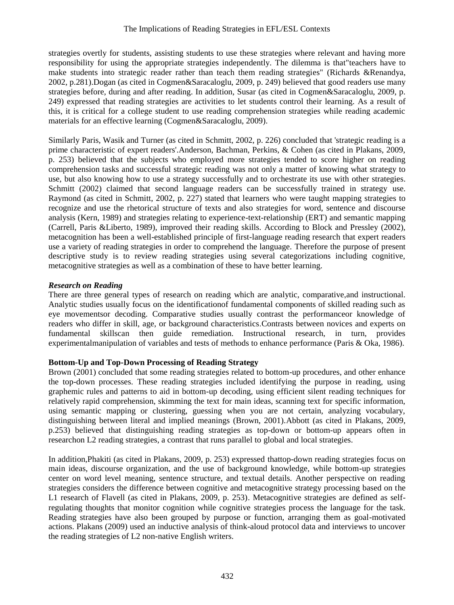strategies overtly for students, assisting students to use these strategies where relevant and having more responsibility for using the appropriate strategies independently. The dilemma is that"teachers have to make students into strategic reader rather than teach them reading strategies" (Richards &Renandya, 2002, p.281).Dogan (as cited in Cogmen&Saracaloglu, 2009, p. 249) believed that good readers use many strategies before, during and after reading. In addition, Susar (as cited in Cogmen&Saracaloglu, 2009, p. 249) expressed that reading strategies are activities to let students control their learning. As a result of this, it is critical for a college student to use reading comprehension strategies while reading academic materials for an effective learning (Cogmen&Saracaloglu, 2009).

Similarly Paris, Wasik and Turner (as cited in Schmitt, 2002, p. 226) concluded that 'strategic reading is a prime characteristic of expert readers'.Anderson, Bachman, Perkins, & Cohen (as cited in Plakans, 2009, p. 253) believed that the subjects who employed more strategies tended to score higher on reading comprehension tasks and successful strategic reading was not only a matter of knowing what strategy to use, but also knowing how to use a strategy successfully and to orchestrate its use with other strategies. Schmitt (2002) claimed that second language readers can be successfully trained in strategy use. Raymond (as cited in Schmitt, 2002, p. 227) stated that learners who were taught mapping strategies to recognize and use the rhetorical structure of texts and also strategies for word, sentence and discourse analysis (Kern, 1989) and strategies relating to experience-text-relationship (ERT) and semantic mapping (Carrell, Paris &Liberto, 1989), improved their reading skills. According to Block and Pressley (2002), metacognition has been a well-established principle of first-language reading research that expert readers use a variety of reading strategies in order to comprehend the language. Therefore the purpose of present descriptive study is to review reading strategies using several categorizations including cognitive, metacognitive strategies as well as a combination of these to have better learning.

#### *Research on Reading*

There are three general types of research on reading which are analytic, comparative,and instructional. Analytic studies usually focus on the identificationof fundamental components of skilled reading such as eye movementsor decoding. Comparative studies usually contrast the performanceor knowledge of readers who differ in skill, age, or background characteristics.Contrasts between novices and experts on fundamental skillscan then guide remediation. Instructional research, in turn, provides experimentalmanipulation of variables and tests of methods to enhance performance (Paris & Oka, 1986).

#### **Bottom-Up and Top-Down Processing of Reading Strategy**

Brown (2001) concluded that some reading strategies related to bottom-up procedures, and other enhance the top-down processes. These reading strategies included identifying the purpose in reading, using graphemic rules and patterns to aid in bottom-up decoding, using efficient silent reading techniques for relatively rapid comprehension, skimming the text for main ideas, scanning text for specific information, using semantic mapping or clustering, guessing when you are not certain, analyzing vocabulary, distinguishing between literal and implied meanings (Brown, 2001).Abbott (as cited in Plakans, 2009, p.253) believed that distinguishing reading strategies as top-down or bottom-up appears often in researchon L2 reading strategies, a contrast that runs parallel to global and local strategies.

In addition,Phakiti (as cited in Plakans, 2009, p. 253) expressed thattop-down reading strategies focus on main ideas, discourse organization, and the use of background knowledge, while bottom-up strategies center on word level meaning, sentence structure, and textual details. Another perspective on reading strategies considers the difference between cognitive and metacognitive strategy processing based on the L1 research of Flavell (as cited in Plakans, 2009, p. 253). Metacognitive strategies are defined as selfregulating thoughts that monitor cognition while cognitive strategies process the language for the task. Reading strategies have also been grouped by purpose or function, arranging them as goal-motivated actions. Plakans (2009) used an inductive analysis of think-aloud protocol data and interviews to uncover the reading strategies of L2 non-native English writers.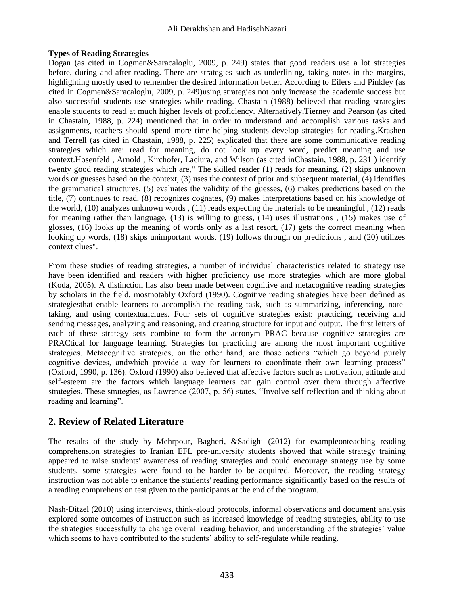#### **Types of Reading Strategies**

Dogan (as cited in Cogmen&Saracaloglu, 2009, p. 249) states that good readers use a lot strategies before, during and after reading. There are strategies such as underlining, taking notes in the margins, highlighting mostly used to remember the desired information better. According to Eilers and Pinkley (as cited in Cogmen&Saracaloglu, 2009, p. 249)using strategies not only increase the academic success but also successful students use strategies while reading. Chastain (1988) believed that reading strategies enable students to read at much higher levels of proficiency. Alternatively,Tierney and Pearson (as cited in Chastain, 1988, p. 224) mentioned that in order to understand and accomplish various tasks and assignments, teachers should spend more time helping students develop strategies for reading.Krashen and Terrell (as cited in Chastain, 1988, p. 225) explicated that there are some communicative reading strategies which are: read for meaning, do not look up every word, predict meaning and use context.Hosenfeld , Arnold , Kirchofer, Laciura, and Wilson (as cited inChastain, 1988, p. 231 ) identify twenty good reading strategies which are," The skilled reader (1) reads for meaning, (2) skips unknown words or guesses based on the context, (3) uses the context of prior and subsequent material, (4) identifies the grammatical structures, (5) evaluates the validity of the guesses, (6) makes predictions based on the title, (7) continues to read, (8) recognizes cognates, (9) makes interpretations based on his knowledge of the world, (10) analyzes unknown words , (11) reads expecting the materials to be meaningful , (12) reads for meaning rather than language, (13) is willing to guess, (14) uses illustrations , (15) makes use of glosses, (16) looks up the meaning of words only as a last resort, (17) gets the correct meaning when looking up words, (18) skips unimportant words, (19) follows through on predictions , and (20) utilizes context clues".

From these studies of reading strategies, a number of individual characteristics related to strategy use have been identified and readers with higher proficiency use more strategies which are more global (Koda, 2005). A distinction has also been made between cognitive and metacognitive reading strategies by scholars in the field, mostnotably Oxford (1990). Cognitive reading strategies have been defined as strategiesthat enable learners to accomplish the reading task, such as summarizing, inferencing, notetaking, and using contextualclues. Four sets of cognitive strategies exist: practicing, receiving and sending messages, analyzing and reasoning, and creating structure for input and output. The first letters of each of these strategy sets combine to form the acronym PRAC because cognitive strategies are PRACtical for language learning. Strategies for practicing are among the most important cognitive strategies. Metacognitive strategies, on the other hand, are those actions "which go beyond purely cognitive devices, andwhich provide a way for learners to coordinate their own learning process" (Oxford, 1990, p. 136). Oxford (1990) also believed that affective factors such as motivation, attitude and self-esteem are the factors which language learners can gain control over them through affective strategies. These strategies, as Lawrence (2007, p. 56) states, "Involve self-reflection and thinking about reading and learning".

## **2. Review of Related Literature**

The results of the study by Mehrpour, Bagheri, &Sadighi (2012) for exampleonteaching reading comprehension strategies to Iranian EFL pre-university students showed that while strategy training appeared to raise students' awareness of reading strategies and could encourage strategy use by some students, some strategies were found to be harder to be acquired. Moreover, the reading strategy instruction was not able to enhance the students' reading performance significantly based on the results of a reading comprehension test given to the participants at the end of the program.

Nash-Ditzel (2010) using interviews, think-aloud protocols, informal observations and document analysis explored some outcomes of instruction such as increased knowledge of reading strategies, ability to use the strategies successfully to change overall reading behavior, and understanding of the strategies' value which seems to have contributed to the students' ability to self-regulate while reading.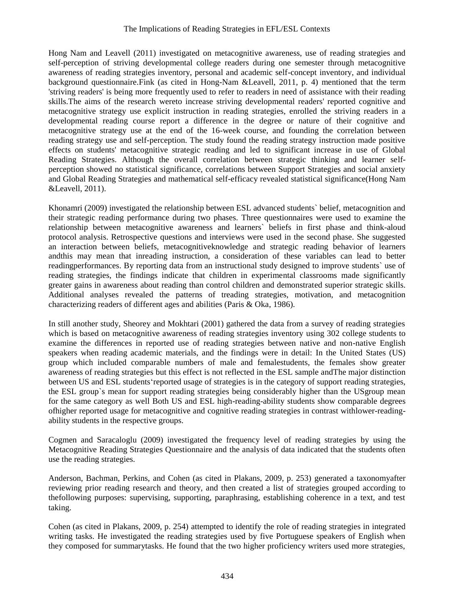Hong Nam and Leavell (2011) investigated on metacognitive awareness, use of reading strategies and self-perception of striving developmental college readers during one semester through metacognitive awareness of reading strategies inventory, personal and academic self-concept inventory, and individual background questionnaire.Fink (as cited in Hong-Nam &Leavell, 2011, p. 4) mentioned that the term 'striving readers' is being more frequently used to refer to readers in need of assistance with their reading skills.The aims of the research wereto increase striving developmental readers' reported cognitive and metacognitive strategy use explicit instruction in reading strategies, enrolled the striving readers in a developmental reading course report a difference in the degree or nature of their cognitive and metacognitive strategy use at the end of the 16-week course, and founding the correlation between reading strategy use and self-perception. The study found the reading strategy instruction made positive effects on students' metacognitive strategic reading and led to significant increase in use of Global Reading Strategies. Although the overall correlation between strategic thinking and learner selfperception showed no statistical significance, correlations between Support Strategies and social anxiety and Global Reading Strategies and mathematical self-efficacy revealed statistical significance(Hong Nam &Leavell, 2011).

Khonamri (2009) investigated the relationship between ESL advanced students` belief, metacognition and their strategic reading performance during two phases. Three questionnaires were used to examine the relationship between metacognitive awareness and learners` beliefs in first phase and think-aloud protocol analysis. Retrospective questions and interviews were used in the second phase. She suggested an interaction between beliefs, metacognitiveknowledge and strategic reading behavior of learners andthis may mean that inreading instruction, a consideration of these variables can lead to better readingperformances. By reporting data from an instructional study designed to improve students` use of reading strategies, the findings indicate that children in experimental classrooms made significantly greater gains in awareness about reading than control children and demonstrated superior strategic skills. Additional analyses revealed the patterns of treading strategies, motivation, and metacognition characterizing readers of different ages and abilities (Paris & Oka, 1986).

In still another study, Sheorey and Mokhtari (2001) gathered the data from a survey of reading strategies which is based on metacognitive awareness of reading strategies inventory using 302 college students to examine the differences in reported use of reading strategies between native and non-native English speakers when reading academic materials, and the findings were in detail: In the United States (US) group which included comparable numbers of male and femalestudents, the females show greater awareness of reading strategies but this effect is not reflected in the ESL sample andThe major distinction between US and ESL students'reported usage of strategies is in the category of support reading strategies, the ESL group`s mean for support reading strategies being considerably higher than the USgroup mean for the same category as well Both US and ESL high-reading-ability students show comparable degrees ofhigher reported usage for metacognitive and cognitive reading strategies in contrast withlower-readingability students in the respective groups.

Cogmen and Saracaloglu (2009) investigated the frequency level of reading strategies by using the Metacognitive Reading Strategies Questionnaire and the analysis of data indicated that the students often use the reading strategies.

Anderson, Bachman, Perkins, and Cohen (as cited in Plakans, 2009, p. 253) generated a taxonomyafter reviewing prior reading research and theory, and then created a list of strategies grouped according to thefollowing purposes: supervising, supporting, paraphrasing, establishing coherence in a text, and test taking.

Cohen (as cited in Plakans, 2009, p. 254) attempted to identify the role of reading strategies in integrated writing tasks. He investigated the reading strategies used by five Portuguese speakers of English when they composed for summarytasks. He found that the two higher proficiency writers used more strategies,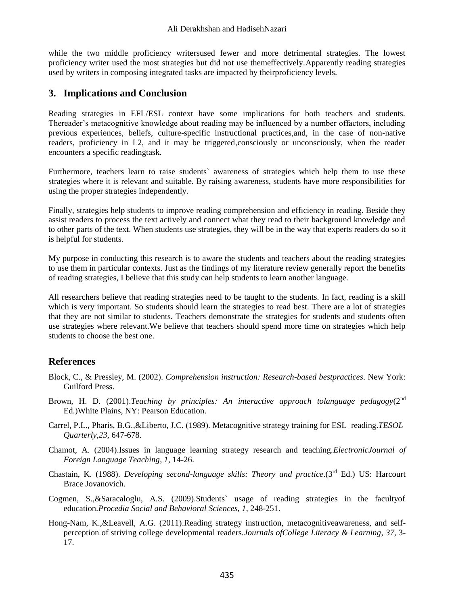while the two middle proficiency writersused fewer and more detrimental strategies. The lowest proficiency writer used the most strategies but did not use themeffectively.Apparently reading strategies used by writers in composing integrated tasks are impacted by theirproficiency levels.

## **3. Implications and Conclusion**

Reading strategies in EFL/ESL context have some implications for both teachers and students. Thereader's metacognitive knowledge about reading may be influenced by a number offactors, including previous experiences, beliefs, culture-specific instructional practices,and, in the case of non-native readers, proficiency in L2, and it may be triggered,consciously or unconsciously, when the reader encounters a specific readingtask.

Furthermore, teachers learn to raise students` awareness of strategies which help them to use these strategies where it is relevant and suitable. By raising awareness, students have more responsibilities for using the proper strategies independently.

Finally, strategies help students to improve reading comprehension and efficiency in reading. Beside they assist readers to process the text actively and connect what they read to their background knowledge and to other parts of the text. When students use strategies, they will be in the way that experts readers do so it is helpful for students.

My purpose in conducting this research is to aware the students and teachers about the reading strategies to use them in particular contexts. Just as the findings of my literature review generally report the benefits of reading strategies, I believe that this study can help students to learn another language.

All researchers believe that reading strategies need to be taught to the students. In fact, reading is a skill which is very important. So students should learn the strategies to read best. There are a lot of strategies that they are not similar to students. Teachers demonstrate the strategies for students and students often use strategies where relevant.We believe that teachers should spend more time on strategies which help students to choose the best one.

## **References**

- Block, C., & Pressley, M. (2002). *Comprehension instruction: Research-based bestpractices*. New York: Guilford Press.
- Brown, H. D. (2001).*Teaching by principles: An interactive approach tolanguage pedagogy*(2nd Ed.)White Plains, NY: Pearson Education.
- Carrel, P.L., Pharis, B.G.,&Liberto, J.C. (1989). Metacognitive strategy training for ESL reading.*TESOL Quarterly,23*, 647-678.
- Chamot, A. (2004).Issues in language learning strategy research and teaching.*ElectronicJournal of Foreign Language Teaching*, *1,* 14-26.
- Chastain, K. (1988). *Developing second-language skills: Theory and practice*.(3rd Ed.) US: Harcourt Brace Jovanovich.
- Cogmen, S.,&Saracaloglu, A.S. (2009).Students` usage of reading strategies in the facultyof education.*Procedia Social and Behavioral Sciences, 1*, 248-251.
- Hong-Nam, K.,&Leavell, A.G. (2011).Reading strategy instruction, metacognitiveawareness, and selfperception of striving college developmental readers.*Journals ofCollege Literacy & Learning*, *37*, 3- 17.